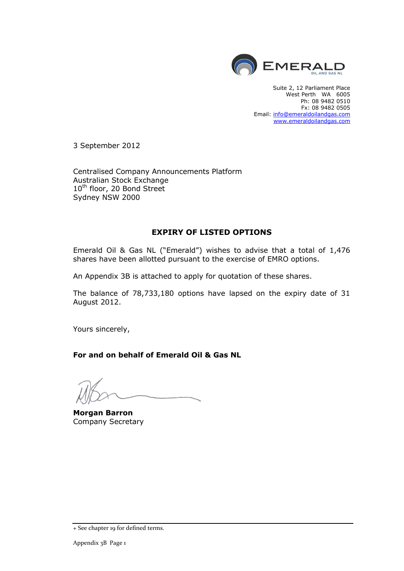

Suite 2, 12 Parliament Place West Perth WA 6005 Ph: 08 9482 0510 Fx: 08 9482 0505 Email: [info@emeraldoilandgas.com](mailto:info@emeraldoilandgas.com) [www.emeraldoilandgas.com](http://www.emeraldoilandgas.com/)

3 September 2012

Centralised Company Announcements Platform Australian Stock Exchange 10<sup>th</sup> floor, 20 Bond Street Sydney NSW 2000

## **EXPIRY OF LISTED OPTIONS**

Emerald Oil & Gas NL ("Emerald") wishes to advise that a total of 1,476 shares have been allotted pursuant to the exercise of EMRO options.

An Appendix 3B is attached to apply for quotation of these shares.

The balance of 78,733,180 options have lapsed on the expiry date of 31 August 2012.

Yours sincerely,

**For and on behalf of Emerald Oil & Gas NL**

**Morgan Barron** Company Secretary

<sup>+</sup> See chapter 19 for defined terms.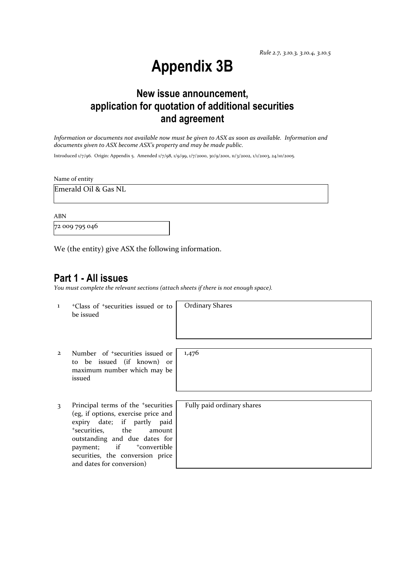*Rule 2.7, 3.10.3, 3.10.4, 3.10.5*

# **Appendix 3B**

## **New issue announcement, application for quotation of additional securities and agreement**

*Information or documents not available now must be given to ASX as soon as available. Information and documents given to ASX become ASX's property and may be made public.*

Introduced 1/7/96. Origin: Appendix 5. Amended 1/7/98, 1/9/99, 1/7/2000, 30/9/2001, 11/3/2002, 1/1/2003, 24/10/2005.

Name of entity

Emerald Oil & Gas NL

ABN

72 009 795 046

We (the entity) give ASX the following information.

## **Part 1 - All issues**

*You must complete the relevant sections (attach sheets if there is not enough space).*

1 <sup>+</sup>Class of +securities issued or to be issued

Ordinary Shares

- 2 Number of +securities issued or to be issued (if known) or maximum number which may be issued
- 3 Principal terms of the <sup>+</sup>securities (eg, if options, exercise price and expiry date; if partly paid <sup>+</sup>securities, the amount outstanding and due dates for payment; if  $+$ convertible securities, the conversion price and dates for conversion)

1,476

Fully paid ordinary shares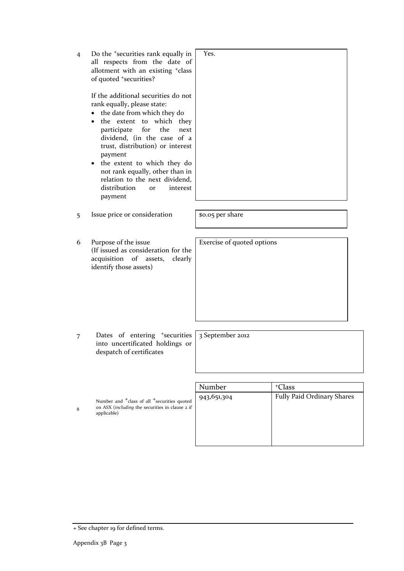4 Do the <sup>+</sup>securities rank equally in all respects from the date of allotment with an existing <sup>+</sup>class of quoted <sup>+</sup>securities?

> If the additional securities do not rank equally, please state:

- the date from which they do
- the extent to which they participate for the next dividend, (in the case of a trust, distribution) or interest payment
- the extent to which they do not rank equally, other than in relation to the next dividend, distribution or interest payment
- 5 Issue price or consideration | \$0.05 per share

Exercise of quoted options

Yes.

6 Purpose of the issue (If issued as consideration for the acquisition of assets, clearly identify those assets)

7 Dates of entering <sup>+</sup>securities into uncertificated holdings or despatch of certificates

3 September 2012

Number and <sup>+</sup>class of all <sup>+</sup>securities quoted on ASX (*including* the securities in clause 2 if applicable)

| Number      | <sup>+</sup> Class         |
|-------------|----------------------------|
| 943,651,304 | Fully Paid Ordinary Shares |
|             |                            |
|             |                            |
|             |                            |
|             |                            |
|             |                            |

8

<sup>+</sup> See chapter 19 for defined terms.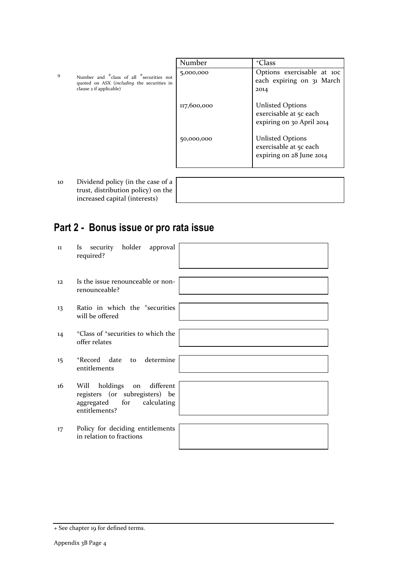9 Number and <sup>+</sup>class of all <sup>+</sup>securities not quoted on ASX (*including* the securities in clause 2 if applicable)

| Number      | <sup>+</sup> Class                                                             |
|-------------|--------------------------------------------------------------------------------|
| 5,000,000   | Options exercisable at 100<br>each expiring on 31 March<br>2014                |
| 117,600,000 | <b>Unlisted Options</b><br>exercisable at 5c each<br>expiring on 30 April 2014 |
| 50,000,000  | <b>Unlisted Options</b><br>exercisable at 5c each<br>expiring on 28 June 2014  |
|             |                                                                                |

10 Dividend policy (in the case of a trust, distribution policy) on the increased capital (interests)

## **Part 2 - Bonus issue or pro rata issue**

| $11\,$ | security holder approval<br><b>Is</b><br>required?                                                                   |
|--------|----------------------------------------------------------------------------------------------------------------------|
| 12     | Is the issue renounceable or non-<br>renounceable?                                                                   |
| 13     | Ratio in which the <sup>+</sup> securities<br>will be offered                                                        |
| 14     | <sup>+</sup> Class of <sup>+</sup> securities to which the<br>offer relates                                          |
| 15     | to determine<br>+Record date<br>entitlements                                                                         |
| 16     | different<br>holdings<br>Will<br>on<br>registers (or subregisters) be<br>aggregated for calculating<br>entitlements? |
| 17     | Policy for deciding entitlements<br>in relation to fractions                                                         |

<sup>+</sup> See chapter 19 for defined terms.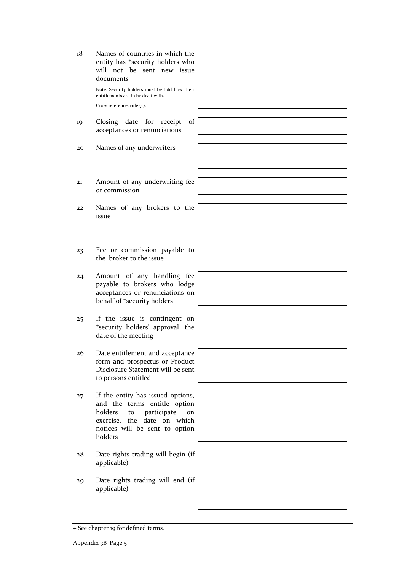| 18 | Names of countries in which the<br>entity has <sup>+</sup> security holders who<br>will not be sent new issue<br>documents<br>Note: Security holders must be told how their<br>entitlements are to be dealt with.<br>Cross reference: rule 7.7. |  |
|----|-------------------------------------------------------------------------------------------------------------------------------------------------------------------------------------------------------------------------------------------------|--|
| 19 | Closing date for receipt<br>of<br>acceptances or renunciations                                                                                                                                                                                  |  |
| 20 | Names of any underwriters                                                                                                                                                                                                                       |  |
| 21 | Amount of any underwriting fee<br>or commission                                                                                                                                                                                                 |  |
| 22 | Names of any brokers to the<br>issue                                                                                                                                                                                                            |  |
| 23 | Fee or commission payable to<br>the broker to the issue                                                                                                                                                                                         |  |
| 24 | Amount of any handling fee<br>payable to brokers who lodge<br>acceptances or renunciations on<br>behalf of <sup>+</sup> security holders                                                                                                        |  |
| 25 | If the issue is contingent on<br>*security holders' approval, the<br>date of the meeting                                                                                                                                                        |  |
| 26 | Date entitlement and acceptance<br>form and prospectus or Product<br>Disclosure Statement will be sent<br>to persons entitled                                                                                                                   |  |
| 27 | If the entity has issued options,<br>and the terms entitle option<br>holders<br>participate<br>to<br>on<br>exercise, the date on<br>which<br>notices will be sent to option<br>holders                                                          |  |
| 28 | Date rights trading will begin (if<br>applicable)                                                                                                                                                                                               |  |
| 29 | Date rights trading will end (if<br>applicable)                                                                                                                                                                                                 |  |

<sup>+</sup> See chapter 19 for defined terms.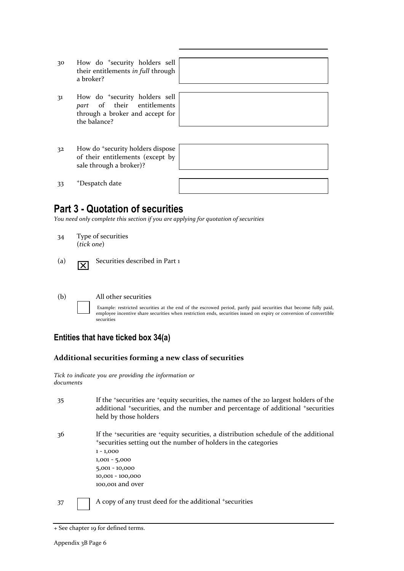- 30 How do <sup>+</sup>security holders sell their entitlements *in full* through a broker?
- 31 How do <sup>+</sup>security holders sell *part* of their entitlements through a broker and accept for the balance?
- 32 How do <sup>+</sup>security holders dispose of their entitlements (except by sale through a broker)?



33 <sup>+</sup>Despatch date

## **Part 3 - Quotation of securities**

*You need only complete this section if you are applying for quotation of securities*

- 34 Type of securities (*tick one*)
- $(a)$   $\overline{\mathbf{X}}$ Securities described in Part 1

#### (b) All other securities

Example: restricted securities at the end of the escrowed period, partly paid securities that become fully paid, employee incentive share securities when restriction ends, securities issued on expiry or conversion of convertible securities

## **Entities that have ticked box 34(a)**

## **Additional securities forming a new class of securities**

*Tick to indicate you are providing the information or documents*

| 35 | If the 'securities are 'equity securities, the names of the 20 largest holders of the<br>additional <sup>+</sup> securities, and the number and percentage of additional <sup>+</sup> securities<br>held by those holders                             |
|----|-------------------------------------------------------------------------------------------------------------------------------------------------------------------------------------------------------------------------------------------------------|
| 36 | If the *securities are *equity securities, a distribution schedule of the additional<br>*securities setting out the number of holders in the categories<br>$1 - 1,000$<br>$1,001 - 5,000$<br>$5,001 - 10,000$<br>10,001 - 100,000<br>100,001 and over |
| 37 | A copy of any trust deed for the additional <sup>+</sup> securities                                                                                                                                                                                   |

<sup>+</sup> See chapter 19 for defined terms.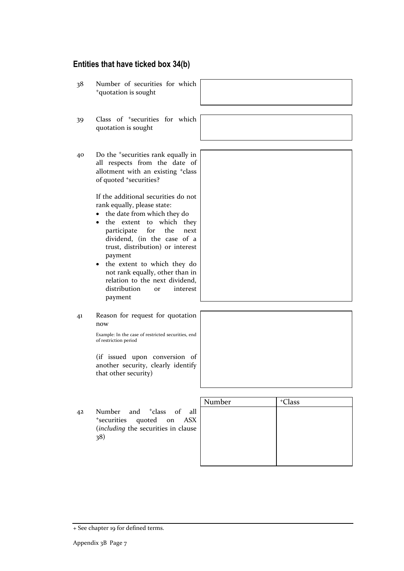## **Entities that have ticked box 34(b)**

38 Number of securities for which <sup>+</sup>quotation is sought 39 Class of <sup>+</sup>securities for which quotation is sought 40 Do the <sup>+</sup>securities rank equally in all respects from the date of allotment with an existing <sup>+</sup>class of quoted <sup>+</sup>securities? If the additional securities do not rank equally, please state: the date from which they do • the extent to which they participate for the next dividend, (in the case of a trust, distribution) or interest payment • the extent to which they do not rank equally, other than in relation to the next dividend, distribution or interest payment 41 Reason for request for quotation now Example: In the case of restricted securities, end of restriction period (if issued upon conversion of another security, clearly identify that other security)

42 Number and <sup>+</sup>class of all <sup>+</sup>securities quoted on ASX (*including* the securities in clause 38)

| Number | <sup>+</sup> Class |
|--------|--------------------|
|        |                    |
|        |                    |
|        |                    |
|        |                    |
|        |                    |
|        |                    |

<sup>+</sup> See chapter 19 for defined terms.